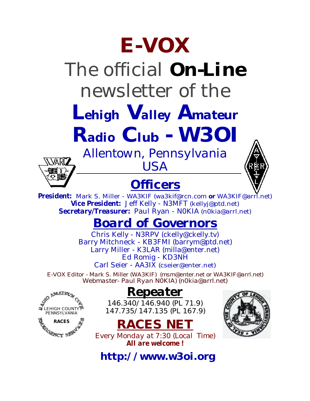# **E-VOX**

# The official *On-Line* newsletter of the

*Lehigh Valley Amateur*

*Radio Club - W3OI*

### *Allentown, Pennsylvania* VARI7

LEHIGH COUNTY PENNSYLVANIA **RACES**

#### **Officers**

*USA*



### *Board of Governors*

Chris Kelly - N3RPV [\(ckelly@ckelly.tv\)](mailto:ckelly@ckelly.tv) Barry Mitchneck - KB3FMI [\(barrym@ptd.net\)](mailto:barrym@ptd.net) Larry Miller - K3LAR [\(milla@enter.net\)](mailto:milla@enter.net) Ed Romig - KD3NH Carl Seier - AA3IX [\(cseier@enter.net\)](mailto:cseier@enter.net)

*E-VOX Editor - Mark S. Miller (WA3KIF) (msm@enter.net or WA3KIF@arrl.net) Webmaster- Paul Ryan N0KIA) [\(n0kia@arrl.net\)](mailto:n0kia@arrl.net)*

#### *Repeater*

*146.340/146.940 (PL 71.9) 147.735/147.135 (PL 167.9)*





*Every Monday at 7:30 (Local Time) All are welcome !*

**<http://www.w3oi.org>**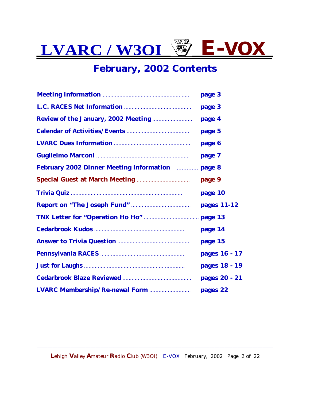#### **February, 2002 Contents**

|                                                                                                                                                                                                                                      | page 3        |
|--------------------------------------------------------------------------------------------------------------------------------------------------------------------------------------------------------------------------------------|---------------|
|                                                                                                                                                                                                                                      | page 3        |
| <b>Review of the January, 2002 Meeting </b>                                                                                                                                                                                          | page 4        |
|                                                                                                                                                                                                                                      | page 5        |
|                                                                                                                                                                                                                                      | page 6        |
|                                                                                                                                                                                                                                      | page 7        |
| <b>February 2002 Dinner Meeting Information Election Constraining Street Street Street Street Street Street Street Street Street Street Street Street Street Street Street Street Street Street Street Street Street Street Stre</b> |               |
| <b>Special Guest at March Meeting </b>                                                                                                                                                                                               | page 9        |
|                                                                                                                                                                                                                                      | page 10       |
|                                                                                                                                                                                                                                      | pages 11-12   |
|                                                                                                                                                                                                                                      |               |
|                                                                                                                                                                                                                                      | page 14       |
|                                                                                                                                                                                                                                      | page 15       |
|                                                                                                                                                                                                                                      | pages 16 - 17 |
|                                                                                                                                                                                                                                      | pages 18 - 19 |
|                                                                                                                                                                                                                                      | pages 20 - 21 |
|                                                                                                                                                                                                                                      | pages 22      |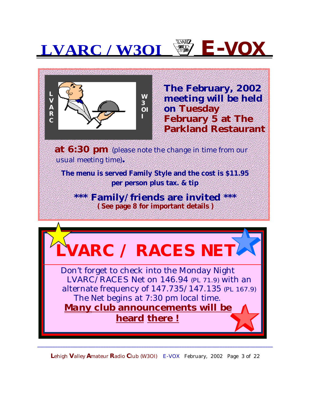

**The February, 2002 meeting will be held on Tuesday February 5 at The Parkland Restaurant**

**at 6:30 pm** (please note the change in time from our usual meeting time)**.**

**The menu is served Family Style and the cost is \$11.95 per person plus tax. & tip** 

**\*\*\* Family/friends are invited \*\*\* ( See page 8 for important details )**



**L**ehigh **V**alley **A**mateur **R**adio **C**lub (W3OI) E-VOX February, 2002 Page 3 of 22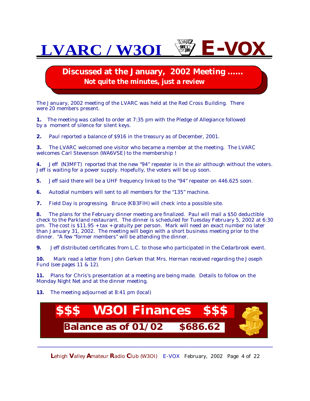**Discussed at the January, 2002 Meeting ...... Not quite the minutes, just a review**

The January, 2002 meeting of the LVARC was held at the Red Cross Building. There were 20 members present.

**1.** The meeting was called to order at 7:35 pm with the Pledge of Allegiance followed by a moment of silence for silent keys.

**2.** Paul reported a balance of \$916 in the treasury as of December, 2001.

**3.** The LVARC welcomed one visitor who became a member at the meeting. The LVARC welcomes Carl Stevenson (WA6VSE) to the membership !

**4.** Jeff (N3MFT) reported that the new "94" repeater is in the air although without the voters. Jeff is waiting for a power supply. Hopefully, the voters will be up soon.

- **5.** Jeff said there will be a UHF frequency linked to the "94" repeater on 446.625 soon.
- **6.** Autodial numbers will sent to all members for the "135" machine.
- **7.** Field Day is progressing. Bruce (KB3FIH) will check into a possible site.

**8.** The plans for the February dinner meeting are finalized. Paul will mail a \$50 deductible check to the Parkland restaurant. The dinner is scheduled for Tuesday February 5, 2002 at 6:30 pm. The cost is \$11.95 + tax + gratuity per person. Mark will need an exact number no later than January 31, 2002. The meeting will begin with a short business meeting prior to the dinner. "A few "former members" will be attending the dinner.

**9.** Jeff distributed certificates from L.C. to those who participated in the Cedarbrook event.

**10.** Mark read a letter from John Gerken that Mrs. Herman received regarding the Joseph Fund (see pages 11 & 12).

**11.** Plans for Chris's presentation at a meeting are being made. Details to follow on the Monday Night Net and at the dinner meeting.

**13.** The meeting adjourned at 8:41 pm (local)



**L**ehigh **V**alley **A**mateur **R**adio **C**lub (W3OI) E-VOX February, 2002 Page 4 of 22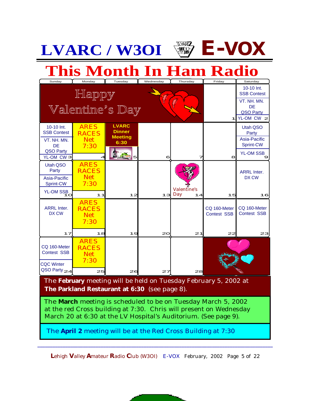|                                                                                                                                                                                                                                                                                                                                           | <b>LVARC/W30I</b>                                             |                                                              |           | <u>NARTZ</u>             | E-VOX                       |                                                                                                          |
|-------------------------------------------------------------------------------------------------------------------------------------------------------------------------------------------------------------------------------------------------------------------------------------------------------------------------------------------|---------------------------------------------------------------|--------------------------------------------------------------|-----------|--------------------------|-----------------------------|----------------------------------------------------------------------------------------------------------|
|                                                                                                                                                                                                                                                                                                                                           | <b>This Month In Ham Radio</b>                                |                                                              |           |                          |                             |                                                                                                          |
| Sunday                                                                                                                                                                                                                                                                                                                                    | Monday<br>Happy<br>Vallentine's Day                           | Tuesday                                                      | Wednesday | Thursday                 | Friday<br>11                | Saturday<br>10-10 Int.<br><b>SSB Contest</b><br>VT. NH. MN.<br>DE<br><b>QSO Party</b><br>YL-OM CW $\geq$ |
| 10-10 Int.<br><b>SSB Contest</b><br>VT. NH. MN.<br><b>DE</b><br><b>QSO Party</b><br>YL-OM CW <sub>3</sub>                                                                                                                                                                                                                                 | <b>ARES</b><br><b>RACES</b><br><b>Net</b><br>7:30             | <b>LVARC</b><br><b>Dinner</b><br><b>Meeting</b><br>6:30<br>5 | 6         | 7                        | 8                           | Utah QSO<br>Party<br>Asia-Pacific<br>Sprint-CW<br><b>YL-OM SSB</b><br>9                                  |
| Utah QSO<br>Party<br>Asia-Pacific<br>Sprint-CW<br><b>YL-OM SSB</b><br>1 <sub>O</sub>                                                                                                                                                                                                                                                      | <b>ARES</b><br><b>RACES</b><br><b>Net</b><br>7:30<br>11       | 12                                                           | 13        | Valentine's<br>Day<br>14 | 15                          | <b>ARRL Inter.</b><br>DX CW<br>16                                                                        |
| <b>ARRL Inter.</b><br>DX CW                                                                                                                                                                                                                                                                                                               | <b>ARES</b><br><b>RACES</b><br><b>Net</b><br>7:30             |                                                              |           |                          | CQ 160-Meter<br>Contest SSB | CQ 160-Meter<br><b>Contest SSB</b>                                                                       |
| 17<br>CQ 160-Meter<br><b>Contest SSB</b><br><b>CQC Winter</b><br>QSO Party <sub>24</sub>                                                                                                                                                                                                                                                  | 18<br><b>ARES</b><br><b>RACES</b><br><b>Net</b><br>7:30<br>25 | 19<br>26                                                     | 20<br>27  | 21<br>28                 | 22                          | 23                                                                                                       |
| The February meeting will be held on Tuesday February 5, 2002 at<br><b>The Parkland Restaurant at 6:30</b> (see page 8).<br>The <b>March</b> meeting is scheduled to be on Tuesday March 5, 2002<br>at the red Cross building at 7:30. Chris will present on Wednesday<br>March 20 at 6:30 at the LV Hospital's Auditorium. (See page 9). |                                                               |                                                              |           |                          |                             |                                                                                                          |
| The April 2 meeting will be at the Red Cross Building at 7:30                                                                                                                                                                                                                                                                             |                                                               |                                                              |           |                          |                             |                                                                                                          |

**L**ehigh **V**alley **A**mateur **R**adio **C**lub (W3OI) E-VOX February, 2002 Page 5 of 22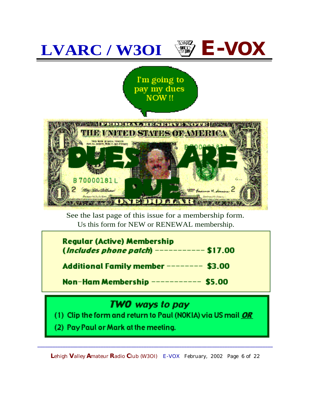

 Us this form for NEW or RENEWAL membership.See the last page of this issue for a membership form.

| <b>Regular (Active) Membership</b><br>(Includes phone patch) ---------- \$17.00 |
|---------------------------------------------------------------------------------|
| Additional Family member ------- \$3.00                                         |
| Non-Ham Membership ---------- \$5.00                                            |
| TWO ways to pay                                                                 |

(1) Clip the form and return to Paul (NOKIA) via US mail OR

(2) Pay Paul or Mark at the meeting.

**L**ehigh **V**alley **A**mateur **R**adio **C**lub (W3OI) E-VOX February, 2002 Page 6 of 22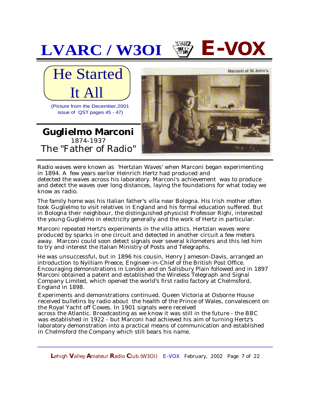

Radio waves were known as 'Hertzian Waves' when Marconi began experimenting in 1894. A few years earlier Heinrich Hertz had produced and detected the waves across his laboratory. Marconi's achievement was to produce and detect the waves over long distances, laying the foundations for what today we know as radio.

The family home was his Italian father's villa near Bologna. His Irish mother often took Guglielmo to visit relatives in England and his formal education suffered. But in Bologna their neighbour, the distinguished physicist Professor Righi, interested the young Guglielmo in electricity generally and the work of Hertz in particular.

Marconi repeated Hertz's experiments in the villa attics. Hertzian waves were produced by sparks in one circuit and detected in another circuit a few meters away. Marconi could soon detect signals over several kilometers and this led him to try and interest the Italian Ministry of Posts and Telegraphs.

He was unsuccessful, but in 1896 his cousin, Henry Jameson-Davis, arranged an introduction to Nyilliam Preece, Engineer-in-Chief of the British Post Office. Encouraging demonstrations in London and on Salisbury Plain followed and in 1897 Marconi obtained a patent and established the Wireless Telegraph and Signal Company Limited, which opened the world's first radio factory at Chelmsford, England in 1898.

Experiments and demonstrations continued. Queen Victoria at Osborne House received bulletins by radio about the health of the Prince of Wales, convalescent on the Royal Yacht off Cowes. In 1901 signals were received

across the Atlantic. Broadcasting as we know it was still in the future - the BBC was established in 1922 - but Marconi had achieved his aim of turning Hertz's laboratory demonstration into a practical means of communication and established in Chelmsford the Company which still bears his name.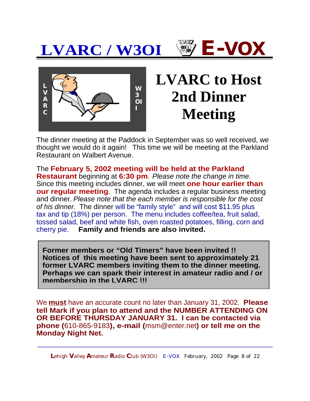



### **LVARC to Host 2nd Dinner Meeting**

The dinner meeting at the Paddock in September was so well received, we thought we would do it again! This time we will be meeting at the Parkland Restaurant on Walbert Avenue.

The **February 5, 2002 meeting will be held at the Parkland Restaurant** beginning at **6:30 pm**. Please note the change in time. Since this meeting includes dinner, we will meet **one hour earlier than our regular meeting**. The agenda includes a regular business meeting and dinner. Please note that the each member is responsible for the cost of his dinner. The dinner will be "family style" and will cost \$11.95 plus tax and tip (18%) per person. The menu includes coffee/tea, fruit salad, tossed salad, beef and white fish, oven roasted potatoes, filling, corn and cherry pie. **Family and friends are also invited.**

**Former members or "Old Timers" have been invited !! Notices of this meeting have been sent to approximately 21 former LVARC members inviting them to the dinner meeting. Perhaps we can spark their interest in amateur radio and / or membership in the LVARC !!!**

We **must** have an accurate count no later than January 31, 2002. **Please tell Mark if you plan to attend and the NUMBER ATTENDING ON OR BEFORE THURSDAY JANUARY 31. I can be contacted via phone (**610-865-9183**), e-mail (**[msm@enter.net](mailto:msm@enter.net)**) or tell me on the Monday Night Net.**

**L**ehigh **V**alley **A**mateur **R**adio **C**lub (W3OI) E-VOX February, 2002 Page 8 of 22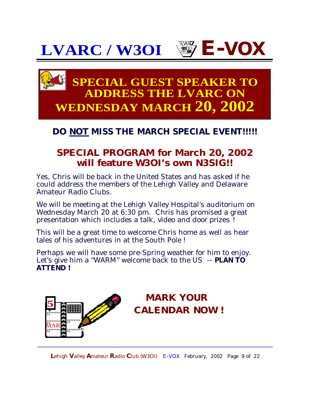

#### **SPECIAL GUEST SPEAKER TO ADDRESS THE LVARC ON WEDNESDAY MARCH 20, 2002**

#### **DO NOT MISS THE MARCH SPECIAL EVENT!!!!!**

#### **SPECIAL PROGRAM for March 20, 2002 will feature W3OI's own N3SIG!!**

Yes, Chris will be back in the United States and has asked if he could address the members of the Lehigh Valley and Delaware Amateur Radio Clubs.

We will be meeting at the Lehigh Valley Hospital's auditorium on Wednesday March 20 at 6:30 pm. Chris has promised a great presentation which includes a talk, video and *door prizes* !

This will be a great time to welcome Chris home as well as hear tales of his adventures in at the South Pole !

Perhaps we will have some pre-Spring weather for him to enjoy. Let's give him a "WARM" welcome back to the US -- **PLAN TO ATTEND !**



#### **MARK YOUR CALENDAR NOW !**

**L**ehigh **V**alley **A**mateur **R**adio **C**lub (W3OI) E-VOX February, 2002 Page 9 of 22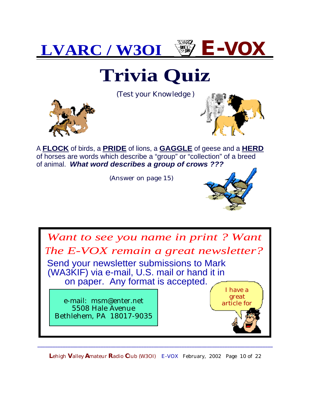

### **Trivia Quiz**

(T*est your Knowledge* )





A **FLOCK** of birds, a **PRIDE** of lions, a **GAGGLE** of geese and a **HERD** of horses are words which describe a "group" or "collection" of a breed of animal. **What word describes a group of crows ???**

(Answer on page 15)



**L**ehigh **V**alley **A**mateur **R**adio **C**lub (W3OI) E-VOX February, 2002 Page 10 of 22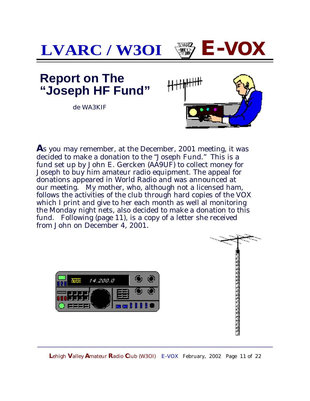

**A**s you may remember, at the December, 2001 meeting, it was decided to make a donation to the "Joseph Fund." This is a fund set up by John E. Gercken (AA9UF) to collect money for Joseph to buy him amateur radio equipment. The appeal for donations appeared in World Radio and was announced at our meeting. My mother, who, although not a licensed ham, follows the activities of the club through hard copies of the VOX which I print and give to her each month as well al monitoring the Monday night nets, also decided to make a donation to this fund. Following (page 11), is a copy of a letter she received from John on December 4, 2001.



chemetro e temenente de chemetro e

**L**ehigh **V**alley **A**mateur **R**adio **C**lub (W3OI) E-VOX February, 2002 Page 11 of 22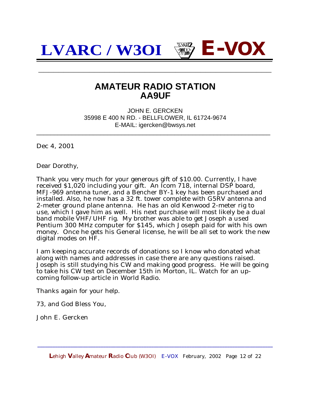**\_\_\_\_\_\_\_\_\_\_\_\_\_\_\_\_\_\_\_\_\_\_\_\_\_\_\_\_\_\_\_\_\_\_\_\_\_\_\_\_\_\_\_\_\_\_**

#### **AMATEUR RADIO STATION AA9UF**

JOHN E. GERCKEN 35998 E 400 N RD. - BELLFLOWER, IL 61724-9674 E-MAIL: [igercken@bwsys.net](mailto:igercken@bwsys.net)

\_\_\_\_\_\_\_\_\_\_\_\_\_\_\_\_\_\_\_\_\_\_\_\_\_\_\_\_\_\_\_\_\_\_\_\_\_\_\_\_\_\_\_\_\_\_\_\_\_\_\_\_\_\_\_\_\_\_\_\_\_\_\_\_\_\_

Dec 4, 2001

Dear Dorothy,

Thank you very much for your generous gift of \$10.00. Currently, I have received \$1,020 including your gift. An Icom 718, internal DSP board, MFJ-969 antenna tuner, and a Bencher BY-1 key has been purchased and installed. Also, he now has a 32 ft. tower complete with G5RV antenna and 2-meter ground plane antenna. He has an old Kenwood 2-meter rig to use, which I gave him as well. His next purchase will most likely be a dual band mobile VHF/UHF rig. My brother was able to get Joseph a used Pentium 300 MHz computer for \$145, which Joseph paid for with his own money. Once he gets his General license, he will be all set to work the new digital modes on HF.

I am keeping accurate records of donations so I know who donated what along with names and addresses in case there are any questions raised. Joseph is still studying his CW and making good progress. He will be going to take his CW test on December 15th in Morton, IL. Watch for an upcoming follow-up article in World Radio.

Thanks again for your help.

73, and God Bless You,

John E. Gercken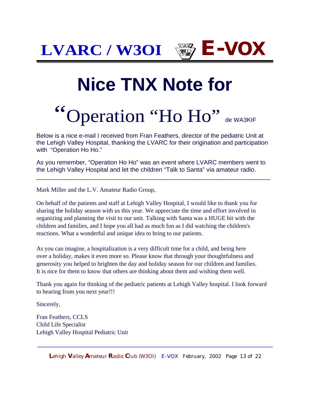# **Nice TNX Note for**

# 'Operation "Ho Ho" de WA3KIF

Below is a nice e-mail I received from Fran Feathers, director of the pediatric Unit at the Lehigh Valley Hospital, thanking the LVARC for their origination and participation with "Operation Ho Ho."

As you remember, "Operation Ho Ho" was an event where LVARC members went to the Lehigh Valley Hospital and let the children "Talk to Santa" via amateur radio.

 $\overline{a_1}$  ,  $\overline{a_2}$  ,  $\overline{a_3}$  ,  $\overline{a_4}$  ,  $\overline{a_5}$  ,  $\overline{a_6}$  ,  $\overline{a_7}$  ,  $\overline{a_8}$  ,  $\overline{a_9}$  ,  $\overline{a_9}$  ,  $\overline{a_9}$  ,  $\overline{a_9}$  ,  $\overline{a_9}$  ,  $\overline{a_9}$  ,  $\overline{a_9}$  ,  $\overline{a_9}$  ,  $\overline{a_9}$  ,

Mark Miller and the L.V. Amateur Radio Group,

On behalf of the patients and staff at Lehigh Valley Hospital, I would like to thank you for sharing the holiday season with us this year. We appreciate the time and effort involved in organizing and planning the visit to our unit. Talking with Santa was a HUGE hit with the children and families, and I hope you all had as much fun as I did watching the children's reactions. What a wonderful and unique idea to bring to our patients.

As you can imagine, a hospitalization is a very difficult time for a child, and being here over a holiday, makes it even more so. Please know that through your thoughtfulness and generosity you helped to brighten the day and holiday season for our children and families. It is nice for them to know that others are thinking about them and wishing them well.

Thank you again for thinking of the pediatric patients at Lehigh Valley hospital. I look forward to hearing from you next year!!!

Sincerely,

Fran Feathers, CCLS Child Life Specialist Lehigh Valley Hospital Pediatric Unit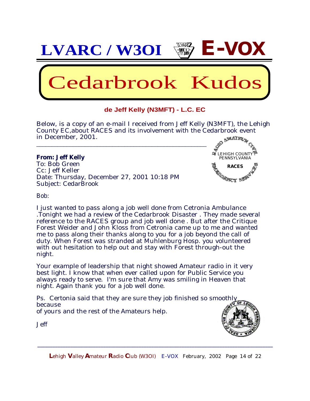

#### **de Jeff Kelly (N3MFT) - L.C. EC**

Below, is a copy of an e-mail I received from Jeff Kelly (N3MFT), the Lehigh County EC,about RACES and its involvement with the Cedarbrook event in December, 2001.

#### **From: Jeff Kelly**

To: Bob Green Cc: Jeff Keller Date: Thursday, December 27, 2001 10:18 PM Subject: CedarBrook

\_\_\_\_\_\_\_\_\_\_\_\_\_\_\_\_\_\_\_\_\_\_\_\_\_\_\_\_\_\_\_\_\_\_\_\_\_\_\_\_\_\_\_\_\_\_\_\_\_\_\_\_\_\_\_\_



Bob:

I just wanted to pass along a job well done from Cetronia Ambulance .Tonight we had a review of the Cedarbrook Disaster . They made several reference to the RACES group and job well done . But after the Critique Forest Weider and John Kloss from Cetronia came up to me and wanted me to pass along their thanks along to you for a job beyond the call of duty. When Forest was stranded at Muhlenburg Hosp. you volunteered with out hesitation to help out and stay with Forest through-out the night.

Your example of leadership that night showed Amateur radio in it very best light. I know that when ever called upon for Public Service you always ready to serve. I'm sure that Amy was smiling in Heaven that night. Again thank you for a job well done.

Ps. Certonia said that they are sure they job finished so smoothly because of yours and the rest of the Amateurs help.



Jeff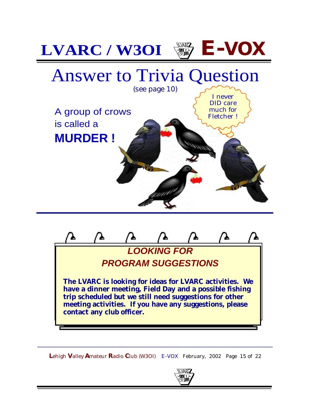

**LOOKING FOR PROGRAM SUGGESTIONS The LVARC is looking for ideas for LVARC activities. We have a dinner meeting, Field Day and a possible fishing trip scheduled but we still need suggestions for other meeting activities. If you have any suggestions, please contact any club officer.**

**L**ehigh **V**alley **A**mateur **R**adio **C**lub (W3OI) E-VOX February, 2002 Page 15 of 22

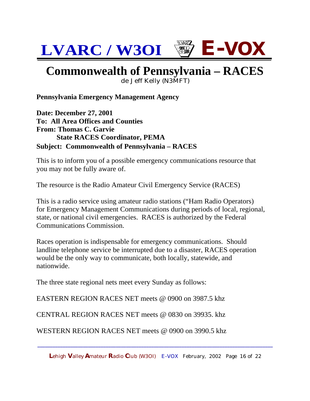#### **Commonwealth of Pennsylvania – RACES**

de Jeff Kelly (N3MFT)

**Pennsylvania Emergency Management Agency**

**Date: December 27, 2001 To: All Area Offices and Counties From: Thomas C. Garvie State RACES Coordinator, PEMA Subject: Commonwealth of Pennsylvania – RACES** 

This is to inform you of a possible emergency communications resource that you may not be fully aware of.

The resource is the Radio Amateur Civil Emergency Service (RACES)

This is a radio service using amateur radio stations ("Ham Radio Operators) for Emergency Management Communications during periods of local, regional, state, or national civil emergencies. RACES is authorized by the Federal Communications Commission.

Races operation is indispensable for emergency communications. Should landline telephone service be interrupted due to a disaster, RACES operation would be the only way to communicate, both locally, statewide, and nationwide.

The three state regional nets meet every Sunday as follows:

EASTERN REGION RACES NET meets @ 0900 on 3987.5 khz

CENTRAL REGION RACES NET meets @ 0830 on 39935. khz

WESTERN REGION RACES NET meets @ 0900 on 3990.5 khz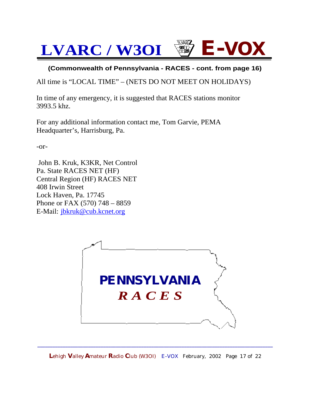#### **(Commonwealth of Pennsylvania - RACES - cont. from page 16)**

All time is "LOCAL TIME" – (NETS DO NOT MEET ON HOLIDAYS)

In time of any emergency, it is suggested that RACES stations monitor 3993.5 khz.

For any additional information contact me, Tom Garvie, PEMA Headquarter's, Harrisburg, Pa.

-or-

 John B. Kruk, K3KR, Net Control Pa. State RACES NET (HF) Central Region (HF) RACES NET 408 Irwin Street Lock Haven, Pa. 17745 Phone or FAX (570) 748 – 8859 E-Mail: [jbkruk@cub.kcnet.org](mailto:jbkruk@cub.kcnet.org)

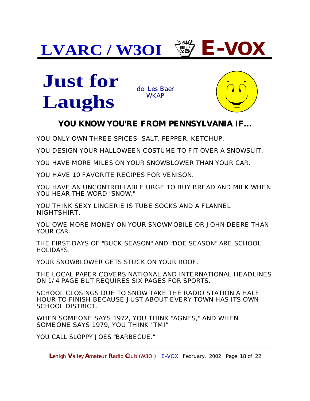



#### **YOU KNOW YOU'RE FROM PENNSYLVANIA IF...**

YOU ONLY OWN THREE SPICES- SALT, PEPPER, KETCHUP.

YOU DESIGN YOUR HALLOWEEN COSTUME TO FIT OVER A SNOWSUIT.

YOU HAVE MORE MILES ON YOUR SNOWBLOWER THAN YOUR CAR.

YOU HAVE 10 FAVORITE RECIPES FOR VENISON.

YOU HAVE AN UNCONTROLLABLE URGE TO BUY BREAD AND MILK WHEN YOU HEAR THE WORD "SNOW."

YOU THINK SEXY LINGERIE IS TUBE SOCKS AND A FLANNEL NIGHTSHIRT.

YOU OWE MORE MONEY ON YOUR SNOWMOBILE OR JOHN DEERE THAN YOUR CAR.

THE FIRST DAYS OF "BUCK SEASON" AND "DOE SEASON" ARE SCHOOL HOLIDAYS.

YOUR SNOWBLOWER GETS STUCK ON YOUR ROOF.

THE LOCAL PAPER COVERS NATIONAL AND INTERNATIONAL HEADLINES ON 1/4 PAGE BUT REQUIRES SIX PAGES FOR SPORTS.

SCHOOL CLOSINGS DUE TO SNOW TAKE THE RADIO STATION A HALF HOUR TO FINISH BECAUSE JUST ABOUT EVERY TOWN HAS ITS OWN SCHOOL DISTRICT.

WHEN SOMEONE SAYS 1972, YOU THINK "AGNES," AND WHEN SOMEONE SAYS 1979, YOU THINK "TMI"

YOU CALL SLOPPY JOES "BARBECUE."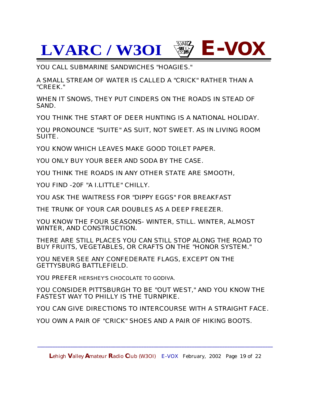YOU CALL SUBMARINE SANDWICHES "HOAGIES."

A SMALL STREAM OF WATER IS CALLED A "CRICK" RATHER THAN A "CREEK."

WHEN IT SNOWS, THEY PUT CINDERS ON THE ROADS IN STEAD OF SAND.

YOU THINK THE START OF DEER HUNTING IS A NATIONAL HOLIDAY.

YOU PRONOUNCE "SUITE" AS SUIT, NOT SWEET. AS IN LIVING ROOM SUITE.

YOU KNOW WHICH LEAVES MAKE GOOD TOILET PAPER.

YOU ONLY BUY YOUR BEER AND SODA BY THE CASE.

YOU THINK THE ROADS IN ANY OTHER STATE ARE SMOOTH,

YOU FIND -20F "A I.LITTLE" CHILLY.

YOU ASK THE WAITRESS FOR "DIPPY EGGS" FOR BREAKFAST

THE TRUNK OF YOUR CAR DOUBLES AS A DEEP FREEZER.

YOU KNOW THE FOUR SEASONS- WINTER, STILL. WINTER, ALMOST WINTER, AND CONSTRUCTION.

THERE ARE STILL PLACES YOU CAN STILL STOP ALONG THE ROAD TO BUY FRUITS, VEGETABLES, OR CRAFTS ON THE "HONOR SYSTEM."

YOU NEVER SEE ANY CONFEDERATE FLAGS, EXCEPT ON THE GETTYSBURG BATTLEFIELD.

YOU PREFER HERSHEY'S CHOCOLATE TO GODIVA.

YOU CONSIDER PITTSBURGH TO BE "OUT WEST," AND YOU KNOW THE FASTEST WAY TO PHILLY IS THE TURNPIKE.

YOU CAN GIVE DIRECTIONS TO INTERCOURSE WITH A STRAIGHT FACE.

YOU OWN A PAIR OF "CRICK" SHOES AND A PAIR OF HIKING BOOTS.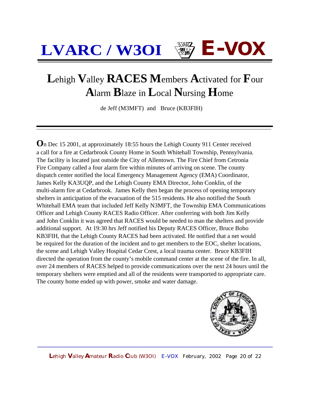#### **L**ehigh **V**alley **RACES M**embers **A**ctivated for **F**our  **A**larm **B**laze in **L**ocal **N**ursing **H**ome

de Jeff (M3MFT) and Bruce (KB3FIH)

**O**n Dec 15 2001, at approximately 18:55 hours the Lehigh County 911 Center received a call for a fire at Cedarbrook County Home in South Whitehall Township, Pennsylvania. The facility is located just outside the City of Allentown. The Fire Chief from Cetronia Fire Company called a four alarm fire within minutes of arriving on scene. The county dispatch center notified the local Emergency Management Agency (EMA) Coordinator, James Kelly KA3UQP, and the Lehigh County EMA Director, John Conklin, of the multi-alarm fire at Cedarbrook. James Kelly then began the process of opening temporary shelters in anticipation of the evacuation of the 515 residents. He also notified the South Whitehall EMA team that included Jeff Kelly N3MFT, the Township EMA Communications Officer and Lehigh County RACES Radio Officer. After conferring with both Jim Kelly and John Conklin it was agreed that RACES would be needed to man the shelters and provide additional support. At 19:30 hrs Jeff notified his Deputy RACES Officer, Bruce Bobo KB3FIH, that the Lehigh County RACES had been activated. He notified that a net would be required for the duration of the incident and to get members to the EOC, shelter locations, the scene and Lehigh Valley Hospital Cedar Crest, a local trauma center. Bruce KB3FIH directed the operation from the county's mobile command center at the scene of the fire. In all, over 24 members of RACES helped to provide communications over the next 24 hours until the temporary shelters were emptied and all of the residents were transported to appropriate care. The county home ended up with power, smoke and water damage.



**L**ehigh **V**alley **A**mateur **R**adio **C**lub (W3OI) E-VOX February, 2002 Page 20 of 22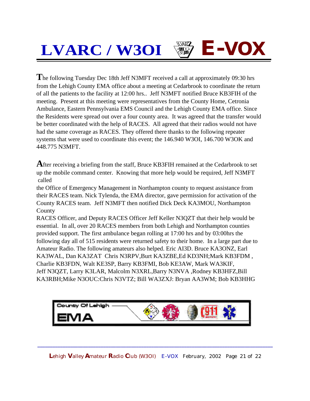**T**he following Tuesday Dec 18th Jeff N3MFT received a call at approximately 09:30 hrs from the Lehigh County EMA office about a meeting at Cedarbrook to coordinate the return of all the patients to the facility at 12:00 hrs.. Jeff N3MFT notified Bruce KB3FIH of the meeting. Present at this meeting were representatives from the County Home, Cetronia Ambulance, Eastern Pennsylvania EMS Council and the Lehigh County EMA office. Since the Residents were spread out over a four county area. It was agreed that the transfer would be better coordinated with the help of RACES. All agreed that their radios would not have had the same coverage as RACES. They offered there thanks to the following repeater systems that were used to coordinate this event; the 146.940 W3OI, 146.700 W3OK and 448.775 N3MFT.

**A**fter receiving a briefing from the staff, Bruce KB3FIH remained at the Cedarbrook to set up the mobile command center. Knowing that more help would be required, Jeff N3MFT called

the Office of Emergency Management in Northampton county to request assistance from their RACES team. Nick Tylenda, the EMA director, gave permission for activation of the County RACES team. Jeff N3MFT then notified Dick Deck KA3MOU, Northampton County

RACES Officer, and Deputy RACES Officer Jeff Keller N3QZT that their help would be essential. In all, over 20 RACES members from both Lehigh and Northampton counties provided support. The first ambulance began rolling at 17:00 hrs and by 03:00hrs the following day all of 515 residents were returned safety to their home. In a large part due to Amateur Radio. The following amateurs also helped. Eric AI3D. Bruce KA3ONZ, Earl KA3WAL, Dan KA3ZAT Chris N3RPV,Burt KA3ZBE,Ed KD3NH;Mark KB3FDM , Charlie KB3FDN, Walt KE3SP, Barry KB3FMI, Bob KE3AW, Mark WA3KIF, Jeff N3QZT, Larry K3LAR, Malcolm N3XRL,Barry N3NVA ,Rodney KB3HFZ,Bill KA3RBH;Mike N3OUC:Chris N3VTZ; Bill WA3ZXJ: Bryan AA3WM; Bob KB3HHG



**L**ehigh **V**alley **A**mateur **R**adio **C**lub (W3OI) E-VOX February, 2002 Page 21 of 22